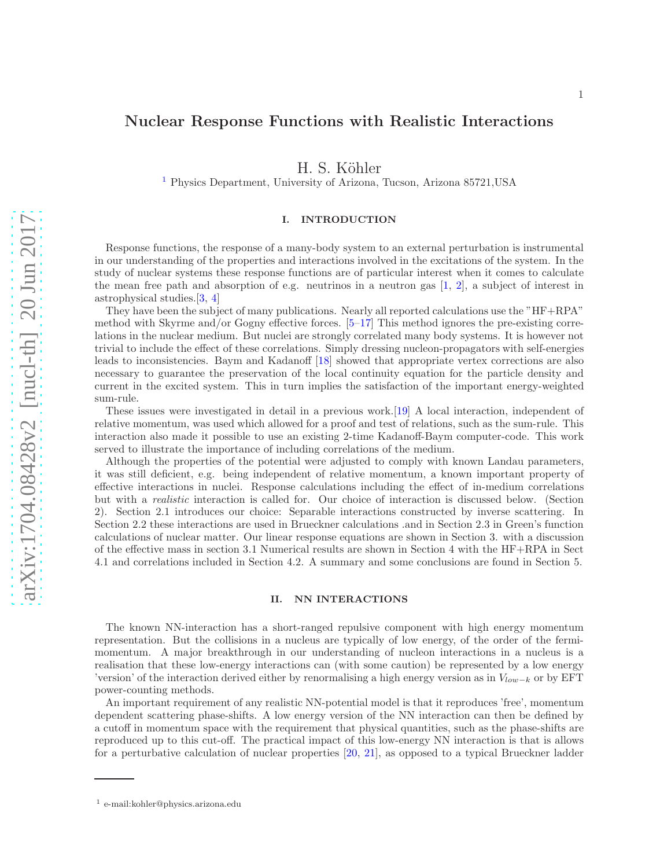# Nuclear Response Functions with Realistic Interactions

H. S. Köhler

[1](#page-0-0) Physics Department, University of Arizona, Tucson, Arizona 85721,USA

## I. INTRODUCTION

Response functions, the response of a many-body system to an external perturbation is instrumental in our understanding of the properties and interactions involved in the excitations of the system. In the study of nuclear systems these response functions are of particular interest when it comes to calculate the mean free path and absorption of e.g. neutrinos in a neutron gas  $[1, 2]$  $[1, 2]$  $[1, 2]$ , a subject of interest in astrophysical studies.[\[3,](#page-12-2) [4\]](#page-12-3)

They have been the subject of many publications. Nearly all reported calculations use the "HF+RPA" method with Skyrme and/or Gogny effective forces. [\[5](#page-12-4)[–17\]](#page-12-5) This method ignores the pre-existing correlations in the nuclear medium. But nuclei are strongly correlated many body systems. It is however not trivial to include the effect of these correlations. Simply dressing nucleon-propagators with self-energies leads to inconsistencies. Baym and Kadanoff [\[18\]](#page-12-6) showed that appropriate vertex corrections are also necessary to guarantee the preservation of the local continuity equation for the particle density and current in the excited system. This in turn implies the satisfaction of the important energy-weighted sum-rule.

These issues were investigated in detail in a previous work.[\[19\]](#page-12-7) A local interaction, independent of relative momentum, was used which allowed for a proof and test of relations, such as the sum-rule. This interaction also made it possible to use an existing 2-time Kadanoff-Baym computer-code. This work served to illustrate the importance of including correlations of the medium.

Although the properties of the potential were adjusted to comply with known Landau parameters, it was still deficient, e.g. being independent of relative momentum, a known important property of effective interactions in nuclei. Response calculations including the effect of in-medium correlations but with a realistic interaction is called for. Our choice of interaction is discussed below. (Section 2). Section 2.1 introduces our choice: Separable interactions constructed by inverse scattering. In Section 2.2 these interactions are used in Brueckner calculations .and in Section 2.3 in Green's function calculations of nuclear matter. Our linear response equations are shown in Section 3. with a discussion of the effective mass in section 3.1 Numerical results are shown in Section 4 with the HF+RPA in Sect 4.1 and correlations included in Section 4.2. A summary and some conclusions are found in Section 5.

## II. NN INTERACTIONS

The known NN-interaction has a short-ranged repulsive component with high energy momentum representation. But the collisions in a nucleus are typically of low energy, of the order of the fermimomentum. A major breakthrough in our understanding of nucleon interactions in a nucleus is a realisation that these low-energy interactions can (with some caution) be represented by a low energy 'version' of the interaction derived either by renormalising a high energy version as in  $V_{low-k}$  or by EFT power-counting methods.

An important requirement of any realistic NN-potential model is that it reproduces 'free', momentum dependent scattering phase-shifts. A low energy version of the NN interaction can then be defined by a cutoff in momentum space with the requirement that physical quantities, such as the phase-shifts are reproduced up to this cut-off. The practical impact of this low-energy NN interaction is that is allows for a perturbative calculation of nuclear properties [\[20](#page-12-8), [21\]](#page-12-9), as opposed to a typical Brueckner ladder

<span id="page-0-0"></span><sup>1</sup> e-mail:kohler@physics.arizona.edu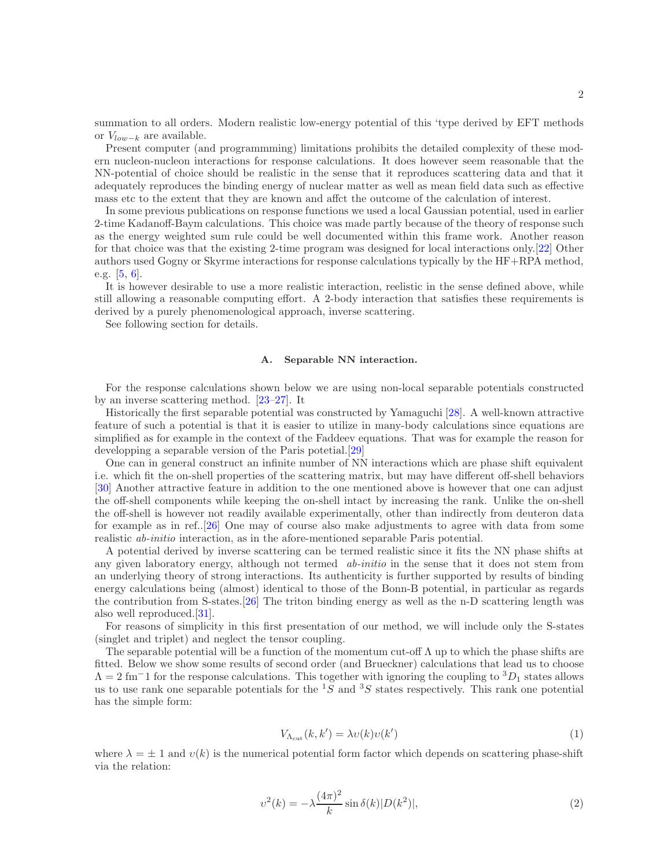summation to all orders. Modern realistic low-energy potential of this 'type derived by EFT methods or  $V_{low-k}$  are available.

Present computer (and programmming) limitations prohibits the detailed complexity of these modern nucleon-nucleon interactions for response calculations. It does however seem reasonable that the NN-potential of choice should be realistic in the sense that it reproduces scattering data and that it adequately reproduces the binding energy of nuclear matter as well as mean field data such as effective mass etc to the extent that they are known and affct the outcome of the calculation of interest.

In some previous publications on response functions we used a local Gaussian potential, used in earlier 2-time Kadanoff-Baym calculations. This choice was made partly because of the theory of response such as the energy weighted sum rule could be well documented within this frame work. Another reason for that choice was that the existing 2-time program was designed for local interactions only.[\[22\]](#page-12-10) Other authors used Gogny or Skyrme interactions for response calculations typically by the HF+RPA method, e.g. [\[5,](#page-12-4) [6\]](#page-12-11).

It is however desirable to use a more realistic interaction, reelistic in the sense defined above, while still allowing a reasonable computing effort. A 2-body interaction that satisfies these requirements is derived by a purely phenomenological approach, inverse scattering.

See following section for details.

# A. Separable NN interaction.

For the response calculations shown below we are using non-local separable potentials constructed by an inverse scattering method. [\[23](#page-12-12)[–27\]](#page-12-13). It

Historically the first separable potential was constructed by Yamaguchi [\[28\]](#page-12-14). A well-known attractive feature of such a potential is that it is easier to utilize in many-body calculations since equations are simplified as for example in the context of the Faddeev equations. That was for example the reason for developping a separable version of the Paris potetial.[\[29](#page-12-15)]

One can in general construct an infinite number of NN interactions which are phase shift equivalent i.e. which fit the on-shell properties of the scattering matrix, but may have different off-shell behaviors [\[30](#page-12-16)] Another attractive feature in addition to the one mentioned above is however that one can adjust the off-shell components while keeping the on-shell intact by increasing the rank. Unlike the on-shell the off-shell is however not readily available experimentally, other than indirectly from deuteron data for example as in ref..[\[26](#page-12-17)] One may of course also make adjustments to agree with data from some realistic ab-initio interaction, as in the afore-mentioned separable Paris potential.

A potential derived by inverse scattering can be termed realistic since it fits the NN phase shifts at any given laboratory energy, although not termed *ab-initio* in the sense that it does not stem from an underlying theory of strong interactions. Its authenticity is further supported by results of binding energy calculations being (almost) identical to those of the Bonn-B potential, in particular as regards the contribution from S-states.[\[26\]](#page-12-17) The triton binding energy as well as the n-D scattering length was also well reproduced.[\[31\]](#page-12-18).

For reasons of simplicity in this first presentation of our method, we will include only the S-states (singlet and triplet) and neglect the tensor coupling.

The separable potential will be a function of the momentum cut-off  $\Lambda$  up to which the phase shifts are fitted. Below we show some results of second order (and Brueckner) calculations that lead us to choose  $\Lambda = 2$  fm<sup>-1</sup> for the response calculations. This together with ignoring the coupling to  ${}^{3}D_1$  states allows us to use rank one separable potentials for the  ${}^{1}\overline{S}$  and  ${}^{3}\overline{S}$  states respectively. This rank one potential has the simple form:

$$
V_{\Lambda_{\rm cut}}(k, k') = \lambda v(k)v(k')
$$
\n(1)

where  $\lambda = \pm 1$  and  $v(k)$  is the numerical potential form factor which depends on scattering phase-shift via the relation:

$$
v^{2}(k) = -\lambda \frac{(4\pi)^{2}}{k} \sin \delta(k) |D(k^{2})|,
$$
\n(2)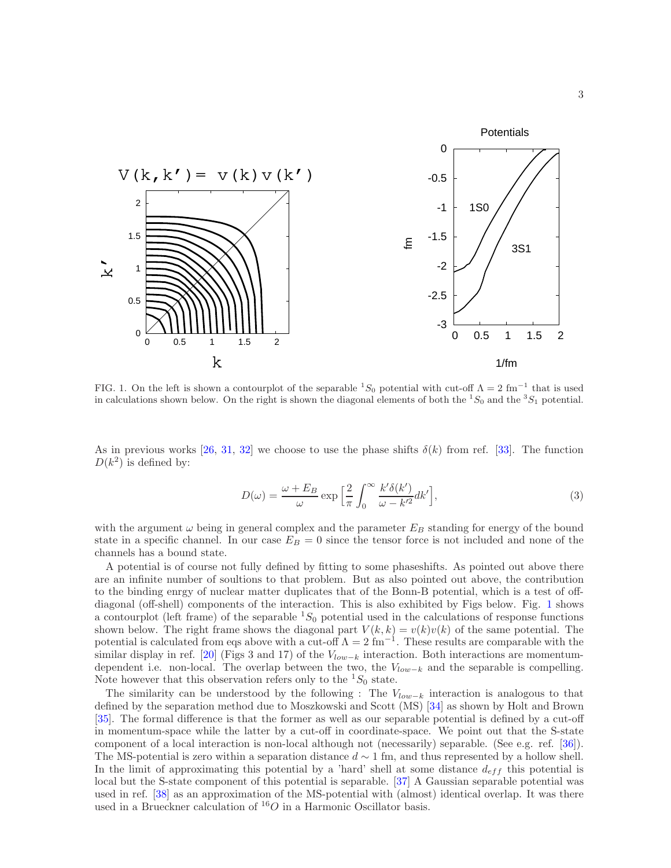

<span id="page-2-0"></span>FIG. 1. On the left is shown a contourplot of the separable  ${}^{1}S_{0}$  potential with cut-off  $\Lambda = 2$  fm<sup>-1</sup> that is used in calculations shown below. On the right is shown the diagonal elements of both the  ${}^1S_0$  and the  ${}^3S_1$  potential.

As in previous works [\[26,](#page-12-17) [31](#page-12-18), [32\]](#page-12-19) we choose to use the phase shifts  $\delta(k)$  from ref. [\[33\]](#page-12-20). The function  $D(k^2)$  is defined by:

$$
D(\omega) = \frac{\omega + E_B}{\omega} \exp\left[\frac{2}{\pi} \int_0^\infty \frac{k'\delta(k')}{\omega - k'^2} dk'\right],\tag{3}
$$

with the argument  $\omega$  being in general complex and the parameter  $E_B$  standing for energy of the bound state in a specific channel. In our case  $E_B = 0$  since the tensor force is not included and none of the channels has a bound state.

A potential is of course not fully defined by fitting to some phaseshifts. As pointed out above there are an infinite number of soultions to that problem. But as also pointed out above, the contribution to the binding enrgy of nuclear matter duplicates that of the Bonn-B potential, which is a test of offdiagonal (off-shell) components of the interaction. This is also exhibited by Figs below. Fig. [1](#page-2-0) shows a contourplot (left frame) of the separable  ${}^{1}S_{0}$  potential used in the calculations of response functions shown below. The right frame shows the diagonal part  $V(k, k) = v(k)v(k)$  of the same potential. The potential is calculated from eqs above with a cut-off  $\Lambda = 2 \text{ fm}^{-1}$ . These results are comparable with the similar display in ref. [\[20](#page-12-8)] (Figs 3 and 17) of the  $V_{low-k}$  interaction. Both interactions are momentumdependent i.e. non-local. The overlap between the two, the  $V_{low-k}$  and the separable is compelling. Note however that this observation refers only to the  $^1S_0$  state.

The similarity can be understood by the following : The  $V_{low-k}$  interaction is analogous to that defined by the separation method due to Moszkowski and Scott (MS) [\[34](#page-12-21)] as shown by Holt and Brown [\[35](#page-12-22)]. The formal difference is that the former as well as our separable potential is defined by a cut-off in momentum-space while the latter by a cut-off in coordinate-space. We point out that the S-state component of a local interaction is non-local although not (necessarily) separable. (See e.g. ref. [\[36\]](#page-12-23)). The MS-potential is zero within a separation distance  $d \sim 1$  fm, and thus represented by a hollow shell. In the limit of approximating this potential by a 'hard' shell at some distance  $d_{eff}$  this potential is local but the S-state component of this potential is separable. [\[37\]](#page-12-24) A Gaussian separable potential was used in ref. [\[38](#page-12-25)] as an approximation of the MS-potential with (almost) identical overlap. It was there used in a Brueckner calculation of  ${}^{16}O$  in a Harmonic Oscillator basis.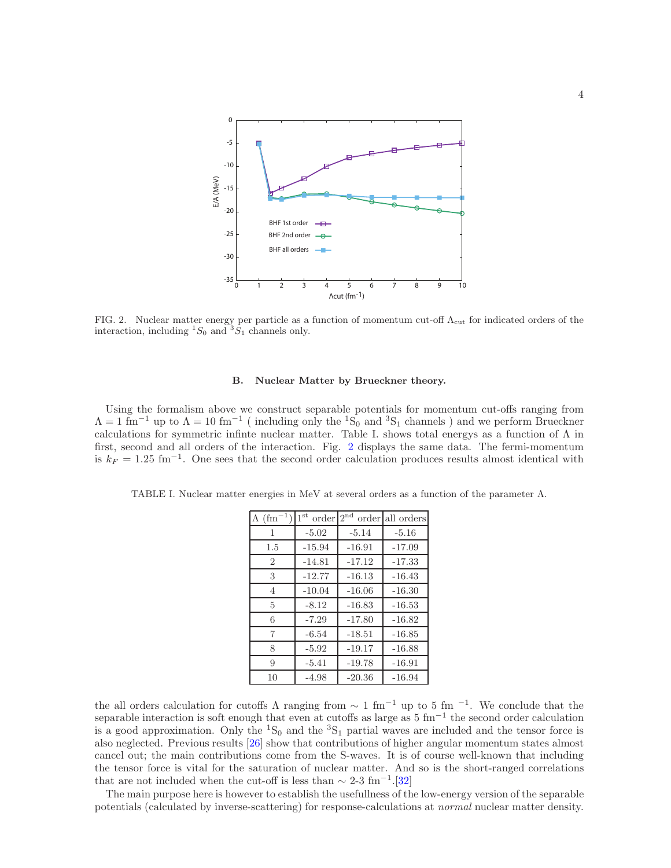

<span id="page-3-0"></span>FIG. 2. Nuclear matter energy per particle as a function of momentum cut-off  $\Lambda_{\text{cut}}$  for indicated orders of the interaction, including  ${}^{1}S_{0}$  and  ${}^{3}\hat{S}_{1}$  channels only.

#### B. Nuclear Matter by Brueckner theory.

Using the formalism above we construct separable potentials for momentum cut-offs ranging from  $\Lambda = 1 \text{ fm}^{-1}$  up to  $\Lambda = 10 \text{ fm}^{-1}$  (including only the <sup>1</sup>S<sub>0</sub> and <sup>3</sup>S<sub>1</sub> channels ) and we perform Brueckner calculations for symmetric infinte nuclear matter. Table I. shows total energys as a function of  $\Lambda$  in first, second and all orders of the interaction. Fig. [2](#page-3-0) displays the same data. The fermi-momentum is  $k_F = 1.25$  fm<sup>-1</sup>. One sees that the second order calculation produces results almost identical with

| $\Lambda$ (fm <sup>-1</sup> ) | $1^{\rm st}$<br>order | $2^{\text{nd}}$<br>order | all orders |
|-------------------------------|-----------------------|--------------------------|------------|
| 1                             | $-5.02$               | $-5.14$                  | $-5.16$    |
| 1.5                           | $-15.94$              | $-16.91$                 | $-17.09$   |
| $\overline{2}$                | $-14.81$              | $-17.12$                 | $-17.33$   |
| 3                             | $-12.77$              | $-16.13$                 | $-16.43$   |
| 4                             | $-10.04$              | $-16.06$                 | $-16.30$   |
| 5                             | $-8.12$               | $-16.83$                 | $-16.53$   |
| 6                             | $-7.29$               | $-17.80$                 | $-16.82$   |
| 7                             | $-6.54$               | $-18.51$                 | $-16.85$   |
| 8                             | $-5.92$               | $-19.17$                 | $-16.88$   |
| 9                             | $-5.41$               | $-19.78$                 | $-16.91$   |
| 10                            | $-4.98$               | $-20.36$                 | $-16.94$   |

TABLE I. Nuclear matter energies in MeV at several orders as a function of the parameter Λ.

the all orders calculation for cutoffs  $\Lambda$  ranging from  $\sim 1 \text{ fm}^{-1}$  up to 5 fm  $^{-1}$ . We conclude that the separable interaction is soft enough that even at cutoffs as large as 5 fm<sup>-1</sup> the second order calculation is a good approximation. Only the  ${}^{1}S_{0}$  and the  ${}^{3}S_{1}$  partial waves are included and the tensor force is also neglected. Previous results [\[26\]](#page-12-17) show that contributions of higher angular momentum states almost cancel out; the main contributions come from the S-waves. It is of course well-known that including the tensor force is vital for the saturation of nuclear matter. And so is the short-ranged correlations that are not included when the cut-off is less than  $\sim 2\n-3$  fm<sup>-1</sup>.[\[32\]](#page-12-19)

The main purpose here is however to establish the usefullness of the low-energy version of the separable potentials (calculated by inverse-scattering) for response-calculations at normal nuclear matter density.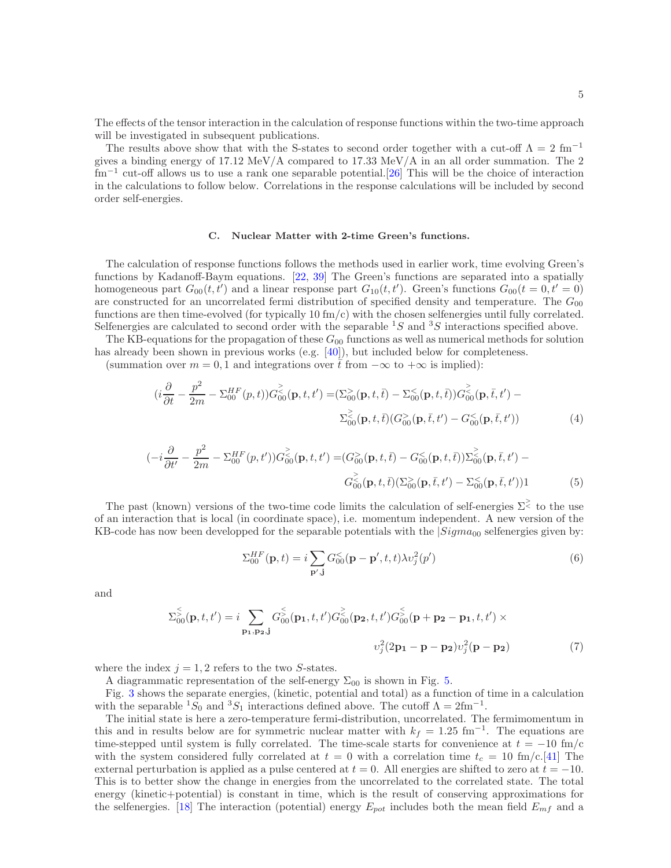The effects of the tensor interaction in the calculation of response functions within the two-time approach will be investigated in subsequent publications.

The results above show that with the S-states to second order together with a cut-off  $\Lambda = 2~\mathrm{fm}^{-1}$ gives a binding energy of 17.12 MeV/A compared to 17.33 MeV/A in an all order summation. The 2 fm<sup>−</sup><sup>1</sup> cut-off allows us to use a rank one separable potential.[\[26\]](#page-12-17) This will be the choice of interaction in the calculations to follow below. Correlations in the response calculations will be included by second order self-energies.

## C. Nuclear Matter with 2-time Green's functions.

The calculation of response functions follows the methods used in earlier work, time evolving Green's functions by Kadanoff-Baym equations. [\[22](#page-12-10), [39\]](#page-12-26) The Green's functions are separated into a spatially homogeneous part  $G_{00}(t, t')$  and a linear response part  $G_{10}(t, t')$ . Green's functions  $G_{00}(t = 0, t' = 0)$ are constructed for an uncorrelated fermi distribution of specified density and temperature. The  $G_{00}$ functions are then time-evolved (for typically 10 fm/c) with the chosen selfenergies until fully correlated. Selfenergies are calculated to second order with the separable  ${}^{1}S$  and  ${}^{3}S$  interactions specified above.

The KB-equations for the propagation of these  $G_{00}$  functions as well as numerical methods for solution has already been shown in previous works (e.g. [\[40\]](#page-12-27)), but included below for completeness.

(summation over  $m = 0, 1$  and integrations over  $\bar{t}$  from  $-\infty$  to  $+\infty$  is implied):

<span id="page-4-0"></span>
$$
(i\frac{\partial}{\partial t} - \frac{p^2}{2m} - \Sigma_{00}^{HF}(p,t))G_{00}^{>}(p,t,t') = (\Sigma_{00}^{>}(p,t,\bar{t}) - \Sigma_{00}^{<}(p,t,\bar{t}))G_{00}^{>}(p,\bar{t},t') - \Sigma_{00}^{<}(p,t,\bar{t})(G_{00}^{>}(p,\bar{t},t') - G_{00}^{<}(p,\bar{t},t'))
$$
(4)

<span id="page-4-1"></span>
$$
(-i\frac{\partial}{\partial t'} - \frac{p^2}{2m} - \Sigma_{00}^{HF}(p, t'))G_{00}^{\geq}(p, t, t') = (G_{00}^{>}(p, t, \bar{t}) - G_{00}^{<}(p, t, \bar{t}))\Sigma_{00}^{\geq}(p, \bar{t}, t') - G_{00}^{\geq}(p, t, \bar{t})(\Sigma_{00}^{>}(p, \bar{t}, t') - \Sigma_{00}^{<}(p, \bar{t}, t'))1
$$
(5)

The past (known) versions of the two-time code limits the calculation of self-energies  $\Sigma^{\geq}$  to the use of an interaction that is local (in coordinate space), i.e. momentum independent. A new version of the KB-code has now been developped for the separable potentials with the  $|Sigma_{00}$  selfenergies given by:

$$
\Sigma_{00}^{HF}(\mathbf{p},t) = i \sum_{\mathbf{p}',\mathbf{j}} G_{00}^{<}(\mathbf{p}-\mathbf{p}',t,t) \lambda v_j^2(p')
$$
\n(6)

and

$$
\Sigma_{00}^{\leq}(\mathbf{p}, t, t') = i \sum_{\mathbf{p_1}, \mathbf{p_2}, \mathbf{j}} G_{00}^{\leq}(\mathbf{p_1}, t, t') G_{00}^{\geq}(\mathbf{p_2}, t, t') G_{00}^{\leq}(\mathbf{p} + \mathbf{p_2} - \mathbf{p_1}, t, t') \times \nv_j^2(2\mathbf{p_1} - \mathbf{p} - \mathbf{p_2}) v_j^2(\mathbf{p} - \mathbf{p_2})
$$
\n(7)

where the index  $j = 1, 2$  refers to the two S-states.

A diagrammatic representation of the self-energy  $\Sigma_{00}$  is shown in Fig. [5.](#page-7-0)

Fig. [3](#page-5-0) shows the separate energies, (kinetic, potential and total) as a function of time in a calculation with the separable  ${}^{1}S_{0}$  and  ${}^{3}S_{1}$  interactions defined above. The cutoff  $\Lambda = 2 \text{fm}^{-1}$ .

The initial state is here a zero-temperature fermi-distribution, uncorrelated. The fermimomentum in this and in results below are for symmetric nuclear matter with  $k_f = 1.25$  fm<sup>-1</sup>. The equations are time-stepped until system is fully correlated. The time-scale starts for convenience at  $t = -10$  fm/c with the system considered fully correlated at  $t = 0$  with a correlation time  $t_c = 10 \text{ fm/c}$ . [\[41\]](#page-12-28) The external perturbation is applied as a pulse centered at  $t = 0$ . All energies are shifted to zero at  $t = -10$ . This is to better show the change in energies from the uncorrelated to the correlated state. The total energy (kinetic+potential) is constant in time, which is the result of conserving approximations for the selfenergies. [\[18\]](#page-12-6) The interaction (potential) energy  $E_{pot}$  includes both the mean field  $E_{mf}$  and a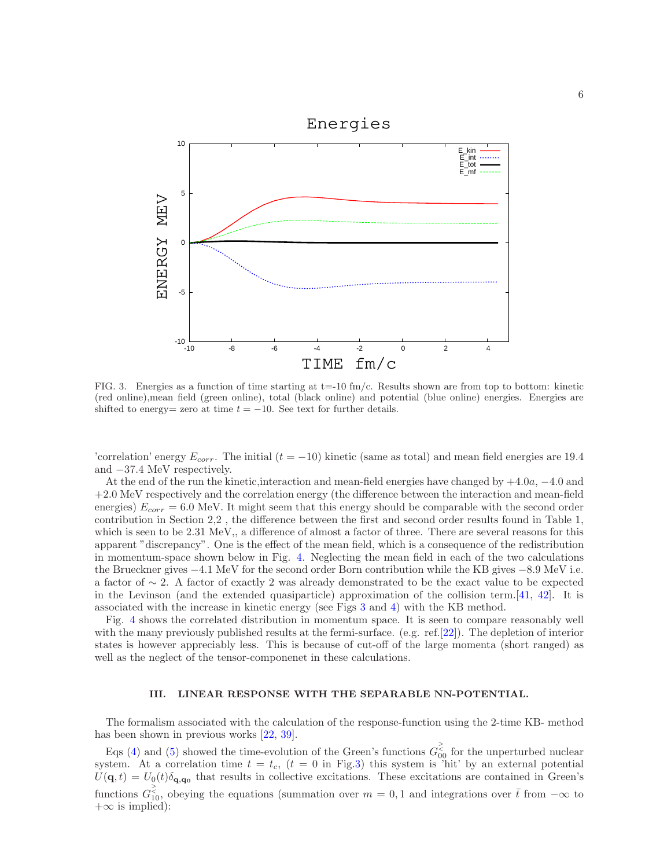

<span id="page-5-0"></span>FIG. 3. Energies as a function of time starting at  $t=-10$  fm/c. Results shown are from top to bottom: kinetic (red online),mean field (green online), total (black online) and potential (blue online) energies. Energies are shifted to energy= zero at time  $t = -10$ . See text for further details.

'correlation' energy  $E_{corr}$ . The initial  $(t = -10)$  kinetic (same as total) and mean field energies are 19.4 and −37.4 MeV respectively.

At the end of the run the kinetic,interaction and mean-field energies have changed by +4.0a, −4.0 and +2.0 MeV respectively and the correlation energy (the difference between the interaction and mean-field energies)  $E_{corr} = 6.0$  MeV. It might seem that this energy should be comparable with the second order contribution in Section 2,2 , the difference between the first and second order results found in Table 1, which is seen to be 2.31 MeV,, a difference of almost a factor of three. There are several reasons for this apparent "discrepancy". One is the effect of the mean field, which is a consequence of the redistribution in momentum-space shown below in Fig. [4.](#page-6-0) Neglecting the mean field in each of the two calculations the Brueckner gives −4.1 MeV for the second order Born contribution while the KB gives −8.9 MeV i.e. a factor of ∼ 2. A factor of exactly 2 was already demonstrated to be the exact value to be expected in the Levinson (and the extended quasiparticle) approximation of the collision term.[\[41,](#page-12-28) [42\]](#page-12-29). It is associated with the increase in kinetic energy (see Figs [3](#page-5-0) and [4\)](#page-6-0) with the KB method.

Fig. [4](#page-6-0) shows the correlated distribution in momentum space. It is seen to compare reasonably well with the many previously published results at the fermi-surface. (e.g. ref.[\[22](#page-12-10)]). The depletion of interior states is however appreciably less. This is because of cut-off of the large momenta (short ranged) as well as the neglect of the tensor-componenet in these calculations.

## III. LINEAR RESPONSE WITH THE SEPARABLE NN-POTENTIAL.

The formalism associated with the calculation of the response-function using the 2-time KB- method has been shown in previous works [\[22](#page-12-10), [39](#page-12-26)].

Eqs [\(4\)](#page-4-0) and [\(5\)](#page-4-1) showed the time-evolution of the Green's functions  $G_{00}^{\ge}$  for the unperturbed nuclear system. At a correlation time  $t = t_c$ ,  $(t = 0$  in Fig[.3\)](#page-5-0) this system is 'hit' by an external potential  $U(\mathbf{q},t) = U_0(t)\delta_{\mathbf{q},\mathbf{q}_0}$  that results in collective excitations. These excitations are contained in Green's functions  $G_{10}^{\ge}$ , obeying the equations (summation over  $m = 0, 1$  and integrations over  $\bar{t}$  from  $-\infty$  to  $+\infty$  is implied):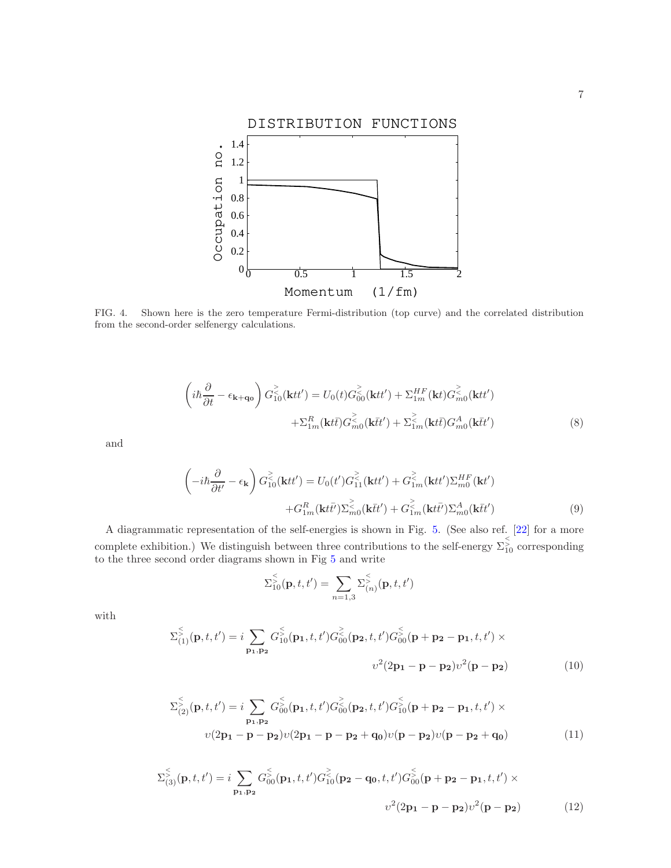

<span id="page-6-0"></span>FIG. 4. Shown here is the zero temperature Fermi-distribution (top curve) and the correlated distribution from the second-order selfenergy calculations.

<span id="page-6-1"></span>
$$
\left(i\hbar\frac{\partial}{\partial t} - \epsilon_{\mathbf{k}+\mathbf{q_0}}\right) G_{10}^{\gtrless}(\mathbf{k}tt') = U_0(t) G_{00}^{\gtrless}(\mathbf{k}tt') + \Sigma_{1m}^{HF}(\mathbf{k}t) G_{m0}^{\gtrless}(\mathbf{k}tt') + \Sigma_{1m}^{R}(\mathbf{k}t\bar{t}) G_{m0}^{\gtrless}(\mathbf{k}\bar{t}t') + \Sigma_{1m}^{\gtrless}(\mathbf{k}t\bar{t}) G_{m0}^{A}(\mathbf{k}\bar{t}t')
$$
\n(8)

and

<span id="page-6-2"></span>
$$
\left(-i\hbar\frac{\partial}{\partial t'} - \epsilon_{\mathbf{k}}\right)G_{10}^{\gtrless}(\mathbf{k}tt') = U_0(t')G_{11}^{\gtrless}(\mathbf{k}tt') + G_{1m}^{\gtrless}(\mathbf{k}tt')\Sigma_{m0}^{HF}(\mathbf{k}t')
$$

$$
+G_{1m}^R(\mathbf{k}t\bar{t'})\Sigma_{m0}^{\gtrless}(\mathbf{k}\bar{t}t') + G_{1m}^{\gtrless}(\mathbf{k}t\bar{t'})\Sigma_{m0}^A(\mathbf{k}t\bar{t}')
$$
(9)

A diagrammatic representation of the self-energies is shown in Fig. [5.](#page-7-0) (See also ref. [\[22\]](#page-12-10) for a more complete exhibition.) We distinguish between three contributions to the self-energy  $\sum_{10}^5$  corresponding to the three second order diagrams shown in Fig [5](#page-7-0) and write

$$
\Sigma_{10}^{\leq}(\mathbf{p},t,t') = \sum_{n=1,3} \Sigma_{(n)}^{\leq}(\mathbf{p},t,t')
$$

with

<span id="page-6-3"></span>
$$
\Sigma_{(1)}^{\leq}(\mathbf{p}, t, t') = i \sum_{\mathbf{p_1}, \mathbf{p_2}} G_{10}^{\leq}(\mathbf{p_1}, t, t') G_{00}^{\leq}(\mathbf{p_2}, t, t') G_{00}^{\leq}(\mathbf{p} + \mathbf{p_2} - \mathbf{p_1}, t, t') \times
$$
  

$$
v^2 (2\mathbf{p_1} - \mathbf{p} - \mathbf{p_2}) v^2 (\mathbf{p} - \mathbf{p_2})
$$
 (10)

<span id="page-6-4"></span>
$$
\sum_{(2)}^{5} (\mathbf{p}, t, t') = i \sum_{\mathbf{p_1}, \mathbf{p_2}} G_{00}^{5} (\mathbf{p_1}, t, t') G_{00}^{5} (\mathbf{p_2}, t, t') G_{10}^{5} (\mathbf{p} + \mathbf{p_2} - \mathbf{p_1}, t, t') \times
$$
  

$$
v(2\mathbf{p_1} - \mathbf{p} - \mathbf{p_2}) v(2\mathbf{p_1} - \mathbf{p} - \mathbf{p_2} + \mathbf{q_0}) v(\mathbf{p} - \mathbf{p_2}) v(\mathbf{p} - \mathbf{p_2} + \mathbf{q_0})
$$
 (11)

<span id="page-6-5"></span>
$$
\Sigma_{(3)}^{\leq}(\mathbf{p}, t, t') = i \sum_{\mathbf{p_1}, \mathbf{p_2}} G_{00}^{\leq}(\mathbf{p_1}, t, t') G_{10}^{\geq}(\mathbf{p_2} - \mathbf{q_0}, t, t') G_{00}^{\leq}(\mathbf{p} + \mathbf{p_2} - \mathbf{p_1}, t, t') \times
$$

$$
v^2 (2\mathbf{p_1} - \mathbf{p} - \mathbf{p_2}) v^2 (\mathbf{p} - \mathbf{p_2}) \tag{12}
$$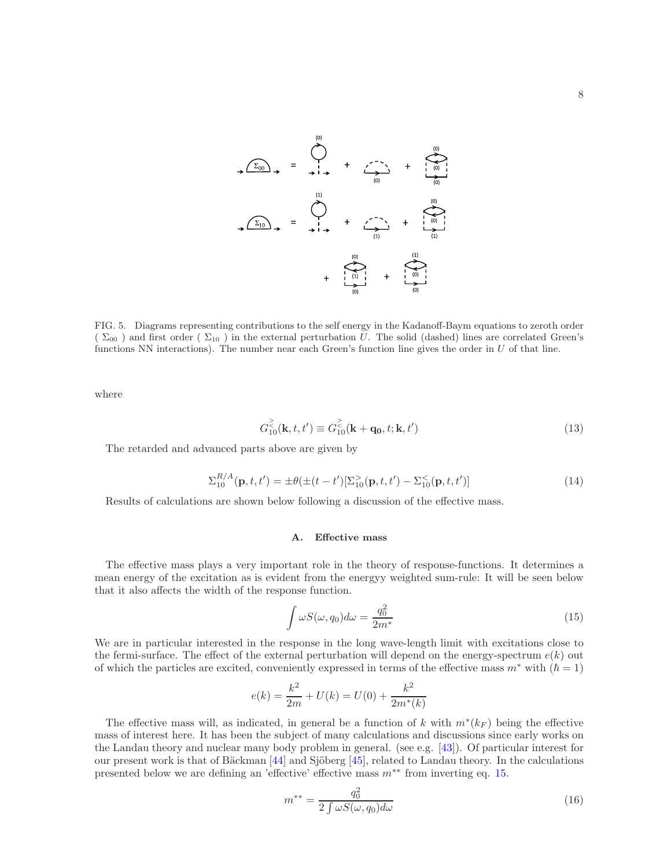

<span id="page-7-0"></span>FIG. 5. Diagrams representing contributions to the self energy in the Kadanoff-Baym equations to zeroth order  $(\Sigma_{00})$  and first order  $(\Sigma_{10})$  in the external perturbation U. The solid (dashed) lines are correlated Green's functions NN interactions). The number near each Green's function line gives the order in  $U$  of that line.

where

$$
G_{10}^{\geq}(k, t, t') \equiv G_{10}^{\geq}(k + q_0, t; k, t')
$$
\n(13)

The retarded and advanced parts above are given by

$$
\Sigma_{10}^{R/A}(\mathbf{p},t,t') = \pm \theta(\pm (t-t')[\Sigma_{10}^{>}(\mathbf{p},t,t') - \Sigma_{10}^{<}(\mathbf{p},t,t')]
$$
\n(14)

Results of calculations are shown below following a discussion of the effective mass.

#### A. Effective mass

The effective mass plays a very important role in the theory of response-functions. It determines a mean energy of the excitation as is evident from the energyy weighted sum-rule: It will be seen below that it also affects the width of the response function.

<span id="page-7-1"></span>
$$
\int \omega S(\omega, q_0) d\omega = \frac{q_0^2}{2m^*} \tag{15}
$$

We are in particular interested in the response in the long wave-length limit with excitations close to the fermi-surface. The effect of the external perturbation will depend on the energy-spectrum  $e(k)$  out of which the particles are excited, conveniently expressed in terms of the effective mass  $m^*$  with  $(\hbar = 1)$ 

$$
e(k) = \frac{k^2}{2m} + U(k) = U(0) + \frac{k^2}{2m^*(k)}
$$

The effective mass will, as indicated, in general be a function of k with  $m^*(k_F)$  being the effective mass of interest here. It has been the subject of many calculations and discussions since early works on the Landau theory and nuclear many body problem in general. (see e.g. [\[43\]](#page-12-30)). Of particular interest for our present work is that of Bäckman  $[44]$  and Sjöberg  $[45]$ , related to Landau theory. In the calculations presented below we are defining an 'effective' effective mass m∗∗ from inverting eq. [15.](#page-7-1)

<span id="page-7-2"></span>
$$
m^{**} = \frac{q_0^2}{2 \int \omega S(\omega, q_0) d\omega} \tag{16}
$$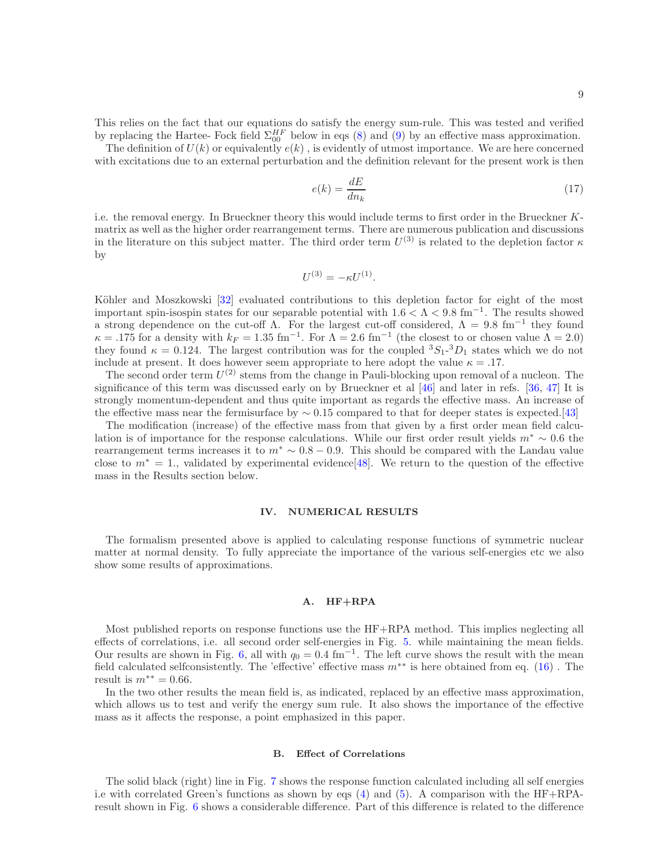This relies on the fact that our equations do satisfy the energy sum-rule. This was tested and verified by replacing the Hartee-Fock field  $\Sigma_{00}^{HF}$  below in eqs [\(8\)](#page-6-1) and [\(9\)](#page-6-2) by an effective mass approximation.

The definition of  $U(k)$  or equivalently  $e(k)$ , is evidently of utmost importance. We are here concerned with excitations due to an external perturbation and the definition relevant for the present work is then

$$
e(k) = \frac{dE}{dn_k} \tag{17}
$$

i.e. the removal energy. In Brueckner theory this would include terms to first order in the Brueckner Kmatrix as well as the higher order rearrangement terms. There are numerous publication and discussions in the literature on this subject matter. The third order term  $U^{(3)}$  is related to the depletion factor  $\kappa$ by

$$
U^{(3)} = -\kappa U^{(1)}.
$$

Köhler and Moszkowski [\[32\]](#page-12-19) evaluated contributions to this depletion factor for eight of the most important spin-isospin states for our separable potential with  $1.6 < \Lambda < 9.8$  fm<sup>-1</sup>. The results showed a strong dependence on the cut-off  $Λ$ . For the largest cut-off considered,  $Λ = 9.8$  fm<sup>-1</sup> they found  $\kappa = .175$  for a density with  $k_F = 1.35$  fm<sup>-1</sup>. For  $\Lambda = 2.6$  fm<sup>-1</sup> (the closest to or chosen value  $\Lambda = 2.0$ ) they found  $\kappa = 0.124$ . The largest contribution was for the coupled  ${}^{3}S_{1}$ - ${}^{3}D_{1}$  states which we do not include at present. It does however seem appropriate to here adopt the value  $\kappa = .17$ .

The second order term  $U^{(2)}$  stems from the change in Pauli-blocking upon removal of a nucleon. The significance of this term was discussed early on by Brueckner et al [\[46\]](#page-12-33) and later in refs. [\[36](#page-12-23), [47\]](#page-13-0) It is strongly momentum-dependent and thus quite important as regards the effective mass. An increase of the effective mass near the fermisurface by  $\sim 0.15$  compared to that for deeper states is expected.[\[43\]](#page-12-30)

The modification (increase) of the effective mass from that given by a first order mean field calculation is of importance for the response calculations. While our first order result yields  $m^* \sim 0.6$  the rearrangement terms increases it to  $m^* \sim 0.8 - 0.9$ . This should be compared with the Landau value close to  $m^* = 1$ ., validated by experimental evidence[\[48\]](#page-13-1). We return to the question of the effective mass in the Results section below.

## IV. NUMERICAL RESULTS

The formalism presented above is applied to calculating response functions of symmetric nuclear matter at normal density. To fully appreciate the importance of the various self-energies etc we also show some results of approximations.

# A. HF+RPA

Most published reports on response functions use the HF+RPA method. This implies neglecting all effects of correlations, i.e. all second order self-energies in Fig. [5.](#page-7-0) while maintaining the mean fields. Our results are shown in Fig. [6,](#page-9-0) all with  $q_0 = 0.4$  fm<sup>-1</sup>. The left curve shows the result with the mean field calculated selfconsistently. The 'effective' effective mass  $m^{**}$  is here obtained from eq. [\(16\)](#page-7-2). The result is  $m^{**} = 0.66$ .

In the two other results the mean field is, as indicated, replaced by an effective mass approximation, which allows us to test and verify the energy sum rule. It also shows the importance of the effective mass as it affects the response, a point emphasized in this paper.

## B. Effect of Correlations

The solid black (right) line in Fig. [7](#page-9-1) shows the response function calculated including all self energies i.e with correlated Green's functions as shown by eqs  $(4)$  and  $(5)$ . A comparison with the HF+RPAresult shown in Fig. [6](#page-9-0) shows a considerable difference. Part of this difference is related to the difference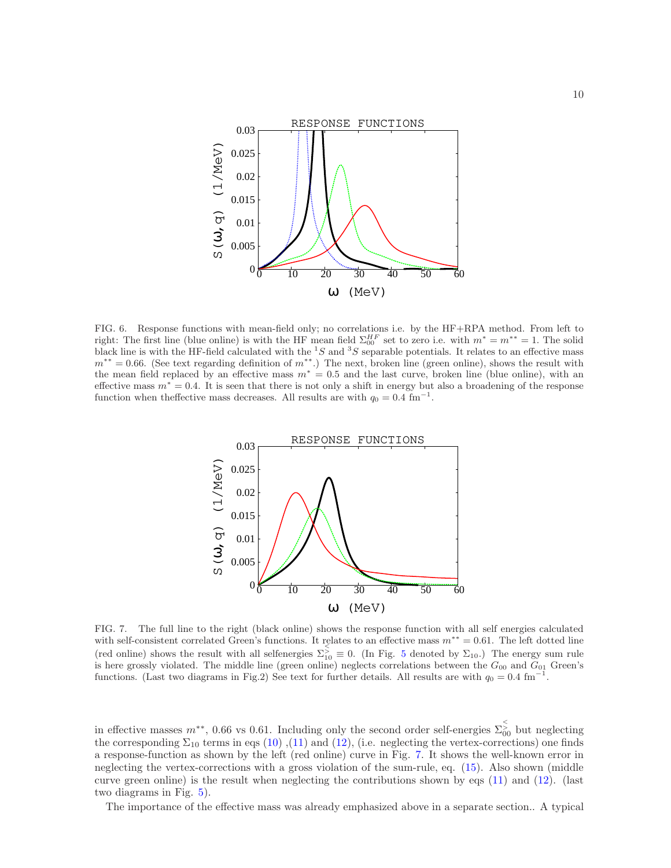

<span id="page-9-0"></span>FIG. 6. Response functions with mean-field only; no correlations i.e. by the HF+RPA method. From left to right: The first line (blue online) is with the HF mean field  $\Sigma_{00}^{HF}$  set to zero i.e. with  $m^* = m^{**} = 1$ . The solid black line is with the HF-field calculated with the  ${}^{1}S$  and  ${}^{3}S$  separable potentials. It relates to an effective mass  $m^{**} = 0.66$ . (See text regarding definition of  $m^{**}$ .) The next, broken line (green online), shows the result with the mean field replaced by an effective mass  $m^* = 0.5$  and the last curve, broken line (blue online), with an effective mass  $m^* = 0.4$ . It is seen that there is not only a shift in energy but also a broadening of the response function when theffective mass decreases. All results are with  $q_0 = 0.4 \text{ fm}^{-1}$ .



<span id="page-9-1"></span>FIG. 7. The full line to the right (black online) shows the response function with all self energies calculated with self-consistent correlated Green's functions. It relates to an effective mass  $m^{**} = 0.61$ . The left dotted line (red online) shows the result with all selfenergies  $\Sigma_{10}^5 \equiv 0$  $\Sigma_{10}^5 \equiv 0$  $\Sigma_{10}^5 \equiv 0$ . (In Fig. 5 denoted by  $\Sigma_{10}$ .) The energy sum rule is here grossly violated. The middle line (green online) neglects correlations between the  $G_{00}$  and  $G_{01}$  Green's functions. (Last two diagrams in Fig.2) See text for further details. All results are with  $q_0 = 0.4$  fm<sup>−</sup> .

in effective masses  $m^{**}$ , 0.66 vs 0.61. Including only the second order self-energies  $\sum_{0}^{5}$  but neglecting the corresponding  $\Sigma_{10}$  terms in eqs [\(10\)](#page-6-3), [\(11\)](#page-6-4) and [\(12\)](#page-6-5), (i.e. neglecting the vertex-corrections) one finds a response-function as shown by the left (red online) curve in Fig. [7.](#page-9-1) It shows the well-known error in neglecting the vertex-corrections with a gross violation of the sum-rule, eq. [\(15\)](#page-7-1). Also shown (middle curve green online) is the result when neglecting the contributions shown by eqs [\(11\)](#page-6-4) and [\(12\)](#page-6-5). (last two diagrams in Fig. [5\)](#page-7-0).

The importance of the effective mass was already emphasized above in a separate section.. A typical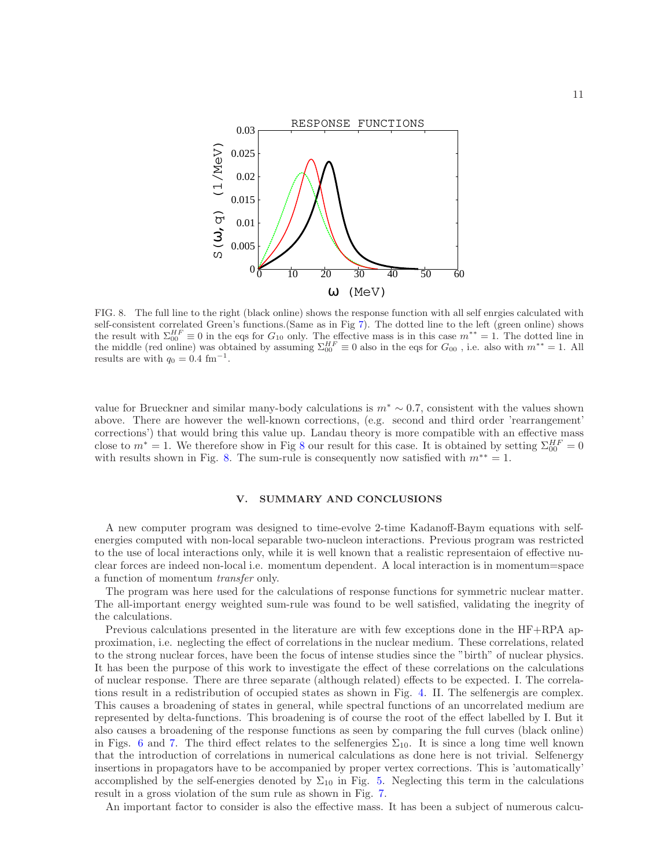

<span id="page-10-0"></span>FIG. 8. The full line to the right (black online) shows the response function with all self enrgies calculated with self-consistent correlated Green's functions.(Same as in Fig [7\)](#page-9-1). The dotted line to the left (green online) shows the result with  $\Sigma_{00}^{HF} \equiv 0$  in the eqs for  $G_{10}$  only. The effective mass is in this case  $m^{**} = 1$ . The dotted line in the middle (red online) was obtained by assuming  $\Sigma_{00}^{HF} \equiv 0$  also in the eqs for  $G_{00}$ , i.e. also with  $m^{**} = 1$ . All results are with  $q_0 = 0.4$  fm<sup>-1</sup>.

value for Brueckner and similar many-body calculations is  $m^* \sim 0.7$ , consistent with the values shown above. There are however the well-known corrections, (e.g. second and third order 'rearrangement' corrections') that would bring this value up. Landau theory is more compatible with an effective mass close to  $m^* = 1$ . We therefore show in Fig [8](#page-10-0) our result for this case. It is obtained by setting  $\Sigma_{00}^{HF} = 0$ with results shown in Fig. [8.](#page-10-0) The sum-rule is consequently now satisfied with  $m^{**} = 1$ .

# V. SUMMARY AND CONCLUSIONS

A new computer program was designed to time-evolve 2-time Kadanoff-Baym equations with selfenergies computed with non-local separable two-nucleon interactions. Previous program was restricted to the use of local interactions only, while it is well known that a realistic representaion of effective nuclear forces are indeed non-local i.e. momentum dependent. A local interaction is in momentum=space a function of momentum transfer only.

The program was here used for the calculations of response functions for symmetric nuclear matter. The all-important energy weighted sum-rule was found to be well satisfied, validating the inegrity of the calculations.

Previous calculations presented in the literature are with few exceptions done in the HF+RPA approximation, i.e. neglecting the effect of correlations in the nuclear medium. These correlations, related to the strong nuclear forces, have been the focus of intense studies since the "birth" of nuclear physics. It has been the purpose of this work to investigate the effect of these correlations on the calculations of nuclear response. There are three separate (although related) effects to be expected. I. The correlations result in a redistribution of occupied states as shown in Fig. [4.](#page-6-0) II. The selfenergis are complex. This causes a broadening of states in general, while spectral functions of an uncorrelated medium are represented by delta-functions. This broadening is of course the root of the effect labelled by I. But it also causes a broadening of the response functions as seen by comparing the full curves (black online) in Figs. [6](#page-9-0) and [7.](#page-9-1) The third effect relates to the selfenergies  $\Sigma_{10}$ . It is since a long time well known that the introduction of correlations in numerical calculations as done here is not trivial. Selfenergy insertions in propagators have to be accompanied by proper vertex corrections. This is 'automatically' accomplished by the self-energies denoted by  $\Sigma_{10}$  in Fig. [5.](#page-7-0) Neglecting this term in the calculations result in a gross violation of the sum rule as shown in Fig. [7.](#page-9-1)

An important factor to consider is also the effective mass. It has been a subject of numerous calcu-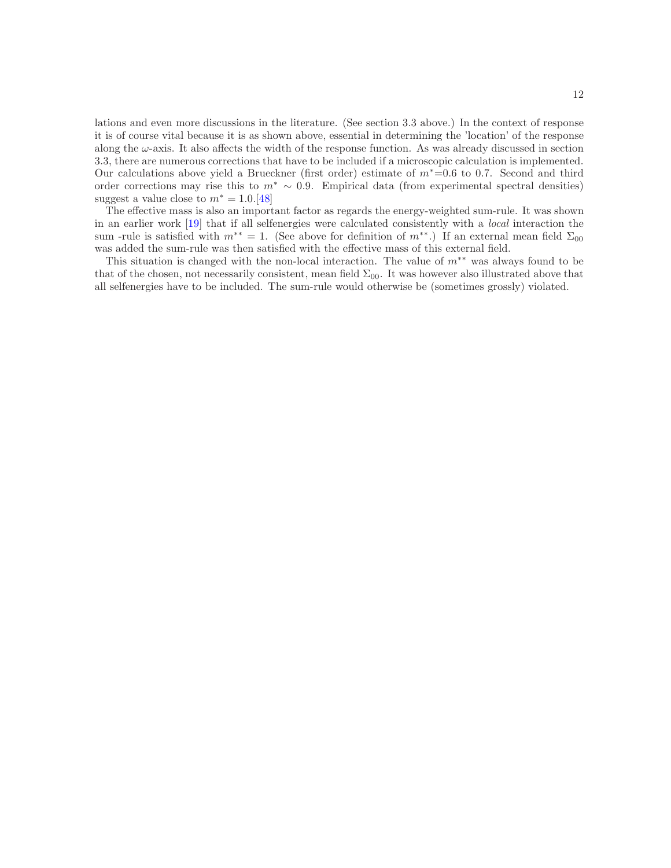lations and even more discussions in the literature. (See section 3.3 above.) In the context of response it is of course vital because it is as shown above, essential in determining the 'location' of the response along the  $\omega$ -axis. It also affects the width of the response function. As was already discussed in section 3.3, there are numerous corrections that have to be included if a microscopic calculation is implemented. Our calculations above yield a Brueckner (first order) estimate of m<sup>∗</sup>=0.6 to 0.7. Second and third order corrections may rise this to  $m^* \sim 0.9$ . Empirical data (from experimental spectral densities) suggest a value close to  $m^* = 1.0$ .[\[48](#page-13-1)]

The effective mass is also an important factor as regards the energy-weighted sum-rule. It was shown in an earlier work [\[19\]](#page-12-7) that if all selfenergies were calculated consistently with a local interaction the sum -rule is satisfied with  $m^{**} = 1$ . (See above for definition of  $m^{**}$ .) If an external mean field  $\Sigma_{00}$ was added the sum-rule was then satisfied with the effective mass of this external field.

This situation is changed with the non-local interaction. The value of  $m**$  was always found to be that of the chosen, not necessarily consistent, mean field  $\Sigma_{00}$ . It was however also illustrated above that all selfenergies have to be included. The sum-rule would otherwise be (sometimes grossly) violated.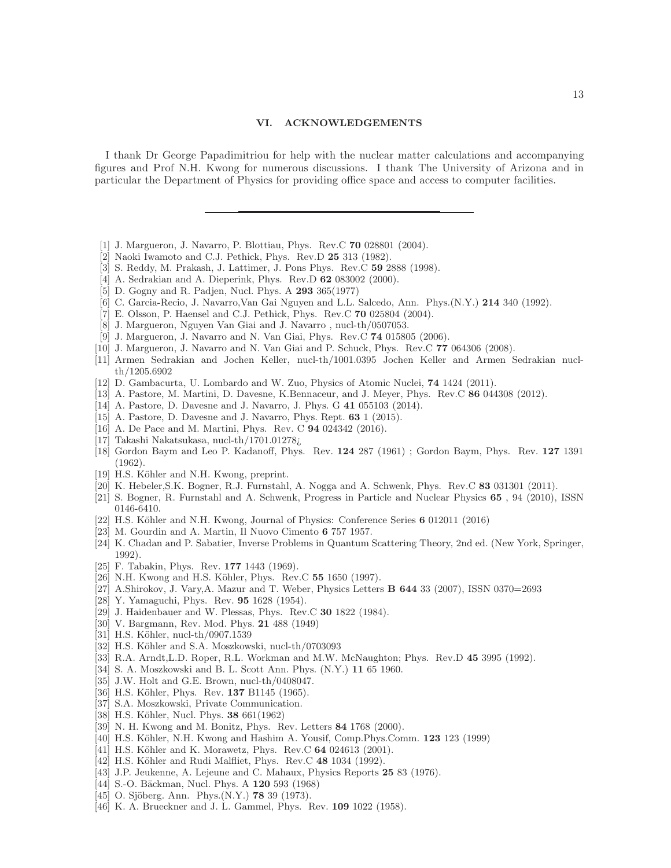#### VI. ACKNOWLEDGEMENTS

I thank Dr George Papadimitriou for help with the nuclear matter calculations and accompanying figures and Prof N.H. Kwong for numerous discussions. I thank The University of Arizona and in particular the Department of Physics for providing office space and access to computer facilities.

- <span id="page-12-0"></span>[1] J. Margueron, J. Navarro, P. Blottiau, Phys. Rev.C 70 028801 (2004).
- <span id="page-12-1"></span>[2] Naoki Iwamoto and C.J. Pethick, Phys. Rev.D 25 313 (1982).
- <span id="page-12-2"></span>[3] S. Reddy, M. Prakash, J. Lattimer, J. Pons Phys. Rev.C 59 2888 (1998).
- <span id="page-12-3"></span>[4] A. Sedrakian and A. Dieperink, Phys. Rev.D **62** 083002 (2000).
- <span id="page-12-4"></span>[5] D. Gogny and R. Padjen, Nucl. Phys. A 293 365(1977)
- <span id="page-12-11"></span>[6] C. Garcia-Recio, J. Navarro,Van Gai Nguyen and L.L. Salcedo, Ann. Phys.(N.Y.) 214 340 (1992).
- [7] E. Olsson, P. Haensel and C.J. Pethick, Phys. Rev.C 70 025804 (2004).
- [8] J. Margueron, Nguyen Van Giai and J. Navarro , nucl-th/0507053.
- [9] J. Margueron, J. Navarro and N. Van Giai, Phys. Rev.C 74 015805 (2006).
- [10] J. Margueron, J. Navarro and N. Van Giai and P. Schuck, Phys. Rev.C 77 064306 (2008).
- [11] Armen Sedrakian and Jochen Keller, nucl-th/1001.0395 Jochen Keller and Armen Sedrakian nuclth/1205.6902
- [12] D. Gambacurta, U. Lombardo and W. Zuo, Physics of Atomic Nuclei, 74 1424 (2011).
- [13] A. Pastore, M. Martini, D. Davesne, K.Bennaceur, and J. Meyer, Phys. Rev.C 86 044308 (2012).
- [14] A. Pastore, D. Davesne and J. Navarro, J. Phys. G 41 055103 (2014).
- [15] A. Pastore, D. Davesne and J. Navarro, Phys. Rept.  $63$  1 (2015).
- [16] A. De Pace and M. Martini, Phys. Rev. C **94** 024342 (2016).
- <span id="page-12-5"></span>[17] Takashi Nakatsukasa, nucl-th/1701.01278¿
- <span id="page-12-6"></span>[18] Gordon Baym and Leo P. Kadanoff, Phys. Rev. 124 287 (1961) ; Gordon Baym, Phys. Rev. 127 1391 (1962).
- <span id="page-12-7"></span>[19] H.S. Köhler and N.H. Kwong, preprint.
- <span id="page-12-8"></span>[20] K. Hebeler,S.K. Bogner, R.J. Furnstahl, A. Nogga and A. Schwenk, Phys. Rev.C 83 031301 (2011).
- <span id="page-12-9"></span>[21] S. Bogner, R. Furnstahl and A. Schwenk, Progress in Particle and Nuclear Physics 65 , 94 (2010), ISSN 0146-6410.
- <span id="page-12-10"></span>[22] H.S. Köhler and N.H. Kwong, Journal of Physics: Conference Series 6 012011 (2016)
- <span id="page-12-12"></span>[23] M. Gourdin and A. Martin, Il Nuovo Cimento 6 757 1957.
- [24] K. Chadan and P. Sabatier, Inverse Problems in Quantum Scattering Theory, 2nd ed. (New York, Springer, 1992).
- [25] F. Tabakin, Phys. Rev. **177** 1443 (1969).
- <span id="page-12-17"></span>[26] N.H. Kwong and H.S. Köhler, Phys. Rev.C 55 1650 (1997).
- <span id="page-12-13"></span>[27] A.Shirokov, J. Vary,A. Mazur and T. Weber, Physics Letters B 644 33 (2007), ISSN 0370=2693
- <span id="page-12-14"></span>[28] Y. Yamaguchi, Phys. Rev. **95** 1628 (1954).
- <span id="page-12-15"></span>[29] J. Haidenbauer and W. Plessas, Phys. Rev.C 30 1822 (1984).
- <span id="page-12-16"></span>[30] V. Bargmann, Rev. Mod. Phys. 21 488 (1949)
- <span id="page-12-18"></span>[31] H.S. Köhler, nucl-th/0907.1539
- <span id="page-12-19"></span>[32] H.S. Köhler and S.A. Moszkowski, nucl-th/0703093
- <span id="page-12-20"></span>[33] R.A. Arndt,L.D. Roper, R.L. Workman and M.W. McNaughton; Phys. Rev.D 45 3995 (1992).
- <span id="page-12-21"></span>[34] S. A. Moszkowski and B. L. Scott Ann. Phys. (N.Y.) 11 65 1960.
- <span id="page-12-22"></span>[35] J.W. Holt and G.E. Brown, nucl-th/0408047.
- <span id="page-12-23"></span>[36] H.S. Köhler, Phys. Rev. 137 B1145 (1965).
- <span id="page-12-24"></span>[37] S.A. Moszkowski, Private Communication.
- <span id="page-12-25"></span>[38] H.S. Köhler, Nucl. Phys. **38** 661(1962)
- <span id="page-12-26"></span>[39] N. H. Kwong and M. Bonitz, Phys. Rev. Letters 84 1768 (2000).
- <span id="page-12-27"></span>[40] H.S. Köhler, N.H. Kwong and Hashim A. Yousif, Comp. Phys. Comm. 123 123 (1999)
- <span id="page-12-28"></span>[41] H.S. Köhler and K. Morawetz, Phys. Rev.C 64 024613 (2001).
- <span id="page-12-29"></span>[42] H.S. Köhler and Rudi Malfliet, Phys. Rev.C 48 1034 (1992).
- <span id="page-12-30"></span>[43] J.P. Jeukenne, A. Lejeune and C. Mahaux, Physics Reports 25 83 (1976).
- <span id="page-12-31"></span>[44] S.-O. Bäckman, Nucl. Phys. A 120 593 (1968)
- <span id="page-12-32"></span>[45] O. Sjöberg. Ann. Phys.(N.Y.) **78** 39 (1973).
- <span id="page-12-33"></span>[46] K. A. Brueckner and J. L. Gammel, Phys. Rev. **109** 1022 (1958).